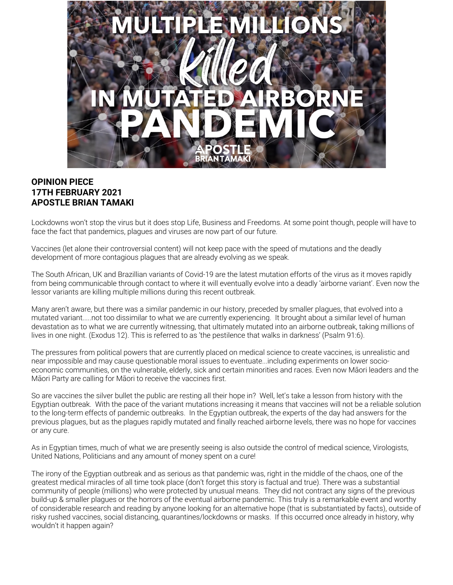

# **OPINION PIECE 17TH FEBRUARY 2021 APOSTLE BRIAN TAMAKI**

Lockdowns won't stop the virus but it does stop Life, Business and Freedoms. At some point though, people will have to face the fact that pandemics, plagues and viruses are now part of our future.

Vaccines (let alone their controversial content) will not keep pace with the speed of mutations and the deadly development of more contagious plagues that are already evolving as we speak.

The South African, UK and Brazillian variants of Covid-19 are the latest mutation efforts of the virus as it moves rapidly from being communicable through contact to where it will eventually evolve into a deadly 'airborne variant'. Even now the lessor variants are killing multiple millions during this recent outbreak.

Many aren't aware, but there was a similar pandemic in our history, preceded by smaller plagues, that evolved into a mutated variant.....not too dissimilar to what we are currently experiencing. It brought about a similar level of human devastation as to what we are currently witnessing, that ultimately mutated into an airborne outbreak, taking millions of lives in one night. (Exodus 12). This is referred to as 'the pestilence that walks in darkness' (Psalm 91:6).

The pressures from political powers that are currently placed on medical science to create vaccines, is unrealistic and near impossible and may cause questionable moral issues to eventuate...including experiments on lower socioeconomic communities, on the vulnerable, elderly, sick and certain minorities and races. Even now Māori leaders and the Māori Party are calling for Māori to receive the vaccines first.

So are vaccines the silver bullet the public are resting all their hope in? Well, let's take a lesson from history with the Egyptian outbreak. With the pace of the variant mutations increasing it means that vaccines will not be a reliable solution to the long-term effects of pandemic outbreaks. In the Egyptian outbreak, the experts of the day had answers for the previous plagues, but as the plagues rapidly mutated and finally reached airborne levels, there was no hope for vaccines or any cure.

As in Egyptian times, much of what we are presently seeing is also outside the control of medical science, Virologists, United Nations, Politicians and any amount of money spent on a cure!

The irony of the Egyptian outbreak and as serious as that pandemic was, right in the middle of the chaos, one of the greatest medical miracles of all time took place (don't forget this story is factual and true). There was a substantial community of people (millions) who were protected by unusual means. They did not contract any signs of the previous build-up & smaller plagues or the horrors of the eventual airborne pandemic. This truly is a remarkable event and worthy of considerable research and reading by anyone looking for an alternative hope (that is substantiated by facts), outside of risky rushed vaccines, social distancing, quarantines/lockdowns or masks. If this occurred once already in history, why wouldn't it happen again?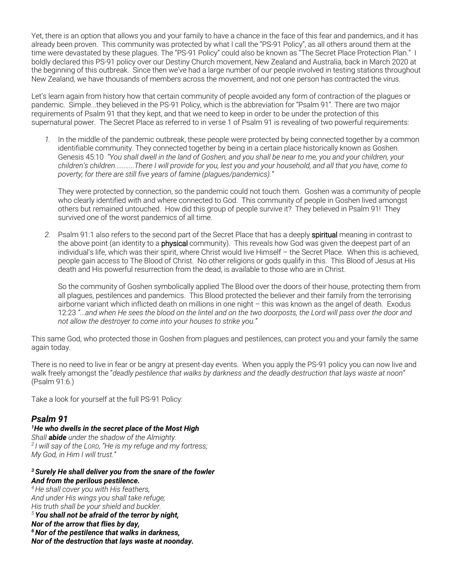Yet, there is an option that allows you and your family to have a chance in the face of this fear and pandemics, and it has already been proven. This community was protected by what I call the "PS-91 Policy", as all others around them at the time were devastated by these plagues. The "PS-91 Policy" could also be known as "The Secret Place Protection Plan." I boldly declared this PS-91 policy over our Destiny Church movement, New Zealand and Australia, back in March 2020 at the beginning of this outbreak. Since then we've had a large number of our people involved in testing stations throughout New Zealand, we have thousands of members across the movement, and not one person has contracted the virus.

Let's learn again from history how that certain community of people avoided any form of contraction of the plagues or pandemic. Simple...they believed in the PS-91 Policy, which is the abbreviation for "Psalm 91". There are two major requirements of Psalm 91 that they kept, and that we need to keep in order to be under the protection of this supernatural power. The Secret Place as referred to in verse 1 of Psalm 91 is revealing of two powerful requirements:

*1.* In the middle of the pandemic outbreak, these people were protected by being connected together by a common identifiable community. They connected together by being in a certain place historically known as Goshen. Genesis 45:10 *"You shall dwell in the land of Goshen, and you shall be near to me, you and your children, your children's children...........There I will provide for you, lest you and your household, and all that you have, come to poverty; for there are still five years of famine (plagues/pandemics)."* 

They were protected by connection, so the pandemic could not touch them. Goshen was a community of people who clearly identified with and where connected to God. This community of people in Goshen lived amongst others but remained untouched. How did this group of people survive it? They believed in Psalm 91! They survived one of the worst pandemics of all time.

*2.* Psalm 91:1 also refers to the second part of the Secret Place that has a deeply spiritual meaning in contrast to the above point (an identity to a **physical** community). This reveals how God was given the deepest part of an individual's life, which was their spirit, where Christ would live Himself – the Secret Place. When this is achieved, people gain access to The Blood of Christ. No other religions or gods qualify in this. This Blood of Jesus at His death and His powerful resurrection from the dead, is available to those who are in Christ.

So the community of Goshen symbolically applied The Blood over the doors of their house, protecting them from all plagues, pestilences and pandemics. This Blood protected the believer and their family from the terrorising airborne variant which inflicted death on millions in one night – this was known as the angel of death. Exodus 12:23 *"...and when He sees the blood on the lintel and on the two doorposts, the Lord will pass over the door and not allow the destroyer to come into your houses to strike you."*

This same God, who protected those in Goshen from plagues and pestilences, can protect you and your family the same again today.

There is no need to live in fear or be angry at present-day events. When you apply the PS-91 policy you can now live and walk freely amongst the "*deadly pestilence that walks by darkness and the deadly destruction that lays waste at noon"* (Psalm 91:6.)

Take a look for yourself at the full PS-91 Policy:

## *Psalm 91*

### *1He who dwells in the secret place of the Most High*

*Shall abide under the shadow of the Almighty. <sup>2</sup> I will say of the LORD, "He is my refuge and my fortress; My God, in Him I will trust."*

#### *<sup>3</sup> Surely He shall deliver you from the snare of the fowler And from the perilous pestilence.*

*4He shall cover you with His feathers, And under His wings you shall take refuge; His truth shall be your shield and buckler. <sup>5</sup> You shall not be afraid of the terror by night, Nor of the arrow that flies by day, 6Nor of the pestilence that walks in darkness, Nor of the destruction that lays waste at noonday.*